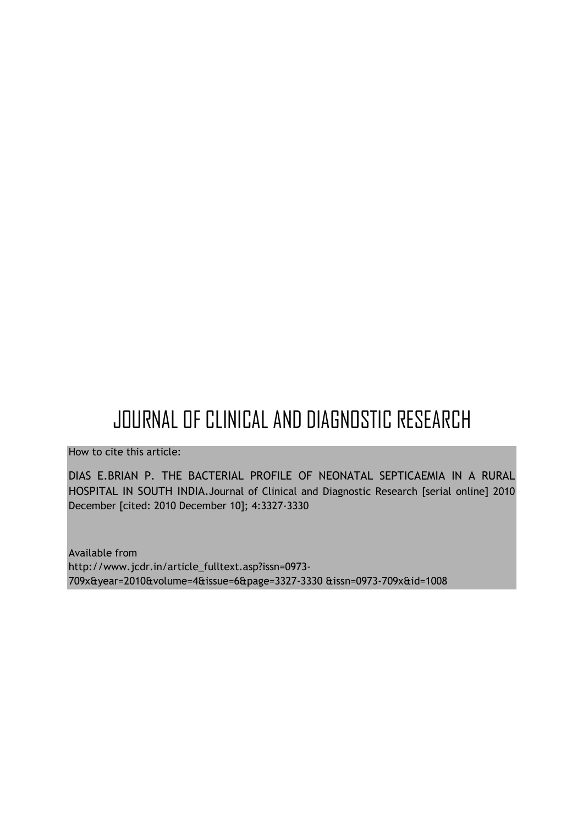# JOURNAL OF CLINICAL AND DIAGNOSTIC RESEARCH

How to cite this article:

DIAS E.BRIAN P. THE BACTERIAL PROFILE OF NEONATAL SEPTICAEMIA IN A RURAL HOSPITAL IN SOUTH INDIA.Journal of Clinical and Diagnostic Research [serial online] 2010 December [cited: 2010 December 10]; 4:3327-3330

Available from http://www.jcdr.in/article\_fulltext.asp?issn=0973- 709x&year=2010&volume=4&issue=6&page=3327-3330 &issn=0973-709x&id=1008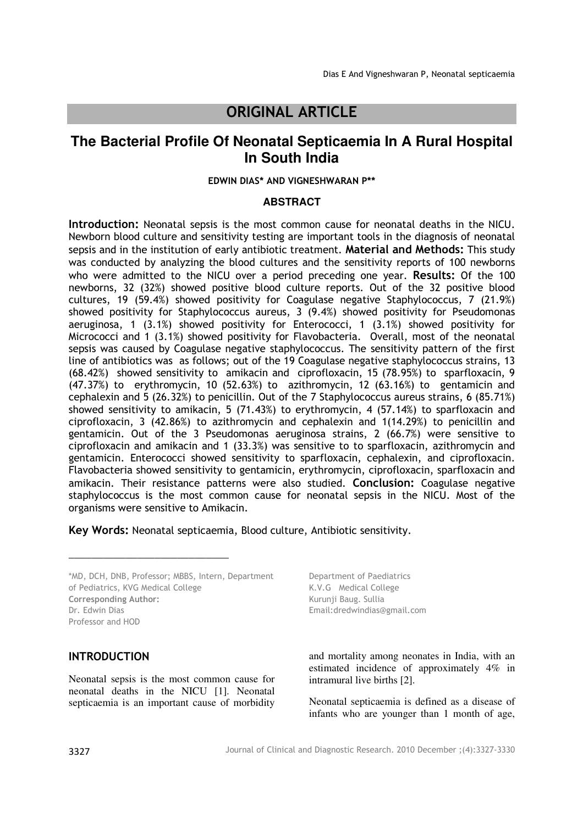# ORIGINAL ARTICLE

## **The Bacterial Profile Of Neonatal Septicaemia In A Rural Hospital In South India**

#### EDWIN DIAS\* AND VIGNESHWARAN P\*\*

#### **ABSTRACT**

Introduction: Neonatal sepsis is the most common cause for neonatal deaths in the NICU. Newborn blood culture and sensitivity testing are important tools in the diagnosis of neonatal sepsis and in the institution of early antibiotic treatment. Material and Methods: This study was conducted by analyzing the blood cultures and the sensitivity reports of 100 newborns who were admitted to the NICU over a period preceding one year. Results: Of the 100 newborns, 32 (32%) showed positive blood culture reports. Out of the 32 positive blood cultures, 19 (59.4%) showed positivity for Coagulase negative Staphylococcus, 7 (21.9%) showed positivity for Staphylococcus aureus, 3 (9.4%) showed positivity for Pseudomonas aeruginosa, 1  $(3.1\%)$  showed positivity for Enterococci, 1  $(3.1\%)$  showed positivity for Micrococci and 1 (3.1%) showed positivity for Flavobacteria. Overall, most of the neonatal sepsis was caused by Coagulase negative staphylococcus. The sensitivity pattern of the first line of antibiotics was as follows; out of the 19 Coagulase negative staphylococcus strains, 13 (68.42%) showed sensitivity to amikacin and ciprofloxacin, 15 (78.95%) to sparfloxacin, 9 (47.37%) to erythromycin, 10 (52.63%) to azithromycin, 12 (63.16%) to gentamicin and cephalexin and 5 (26.32%) to penicillin. Out of the 7 Staphylococcus aureus strains, 6 (85.71%) showed sensitivity to amikacin, 5 (71.43%) to erythromycin, 4 (57.14%) to sparfloxacin and ciprofloxacin, 3 (42.86%) to azithromycin and cephalexin and 1(14.29%) to penicillin and gentamicin. Out of the 3 Pseudomonas aeruginosa strains, 2 (66.7%) were sensitive to ciprofloxacin and amikacin and 1 (33.3%) was sensitive to to sparfloxacin, azithromycin and gentamicin. Enterococci showed sensitivity to sparfloxacin, cephalexin, and ciprofloxacin. Flavobacteria showed sensitivity to gentamicin, erythromycin, ciprofloxacin, sparfloxacin and amikacin. Their resistance patterns were also studied. Conclusion: Coagulase negative staphylococcus is the most common cause for neonatal sepsis in the NICU. Most of the organisms were sensitive to Amikacin.

Key Words: Neonatal septicaemia, Blood culture, Antibiotic sensitivity.

\*MD, DCH, DNB, Professor; MBBS, Intern, Department of Pediatrics, KVG Medical College Corresponding Author: Dr. Edwin Dias Professor and HOD

**\_\_\_\_\_\_\_\_\_\_\_\_\_\_\_\_\_\_\_\_\_\_\_\_\_\_\_\_** 

#### INTRODUCTION

Neonatal sepsis is the most common cause for neonatal deaths in the NICU [1]. Neonatal septicaemia is an important cause of morbidity

Department of Paediatrics K.V.G Medical College Kurunji Baug. Sullia Email:dredwindias@gmail.com

and mortality among neonates in India, with an estimated incidence of approximately 4% in intramural live births [2].

Neonatal septicaemia is defined as a disease of infants who are younger than 1 month of age,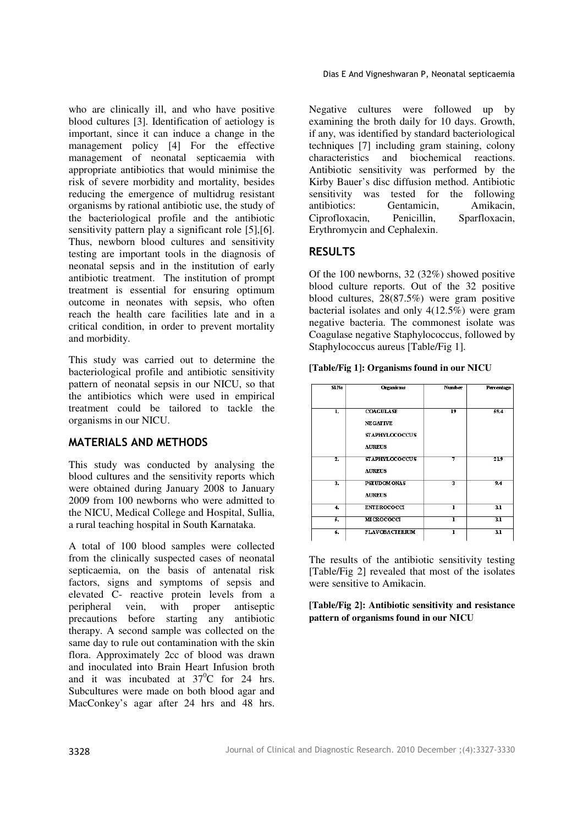who are clinically ill, and who have positive blood cultures [3]. Identification of aetiology is important, since it can induce a change in the management policy [4] For the effective management of neonatal septicaemia with appropriate antibiotics that would minimise the risk of severe morbidity and mortality, besides reducing the emergence of multidrug resistant organisms by rational antibiotic use, the study of the bacteriological profile and the antibiotic sensitivity pattern play a significant role [5], [6]. Thus, newborn blood cultures and sensitivity testing are important tools in the diagnosis of neonatal sepsis and in the institution of early antibiotic treatment. The institution of prompt treatment is essential for ensuring optimum outcome in neonates with sepsis, who often reach the health care facilities late and in a critical condition, in order to prevent mortality and morbidity.

This study was carried out to determine the bacteriological profile and antibiotic sensitivity pattern of neonatal sepsis in our NICU, so that the antibiotics which were used in empirical treatment could be tailored to tackle the organisms in our NICU.

## MATERIALS AND METHODS

This study was conducted by analysing the blood cultures and the sensitivity reports which were obtained during January 2008 to January 2009 from 100 newborns who were admitted to the NICU, Medical College and Hospital, Sullia, a rural teaching hospital in South Karnataka.

A total of 100 blood samples were collected from the clinically suspected cases of neonatal septicaemia, on the basis of antenatal risk factors, signs and symptoms of sepsis and elevated C- reactive protein levels from a peripheral vein, with proper antiseptic precautions before starting any antibiotic therapy. A second sample was collected on the same day to rule out contamination with the skin flora. Approximately 2cc of blood was drawn and inoculated into Brain Heart Infusion broth and it was incubated at  $37^{\circ}$ C for 24 hrs. Subcultures were made on both blood agar and MacConkey's agar after 24 hrs and 48 hrs.

Negative cultures were followed up by examining the broth daily for 10 days. Growth, if any, was identified by standard bacteriological techniques [7] including gram staining, colony characteristics and biochemical reactions. Antibiotic sensitivity was performed by the Kirby Bauer's disc diffusion method. Antibiotic sensitivity was tested for the following antibiotics: Gentamicin, Amikacin, Ciprofloxacin, Penicillin, Sparfloxacin, Erythromycin and Cephalexin.

## RESULTS

Of the 100 newborns, 32 (32%) showed positive blood culture reports. Out of the 32 positive blood cultures, 28(87.5%) were gram positive bacterial isolates and only 4(12.5%) were gram negative bacteria. The commonest isolate was Coagulase negative Staphylococcus, followed by Staphylococcus aureus [Table/Fig 1].

| [Table/Fig 1]: Organisms found in our NICU |  |  |  |
|--------------------------------------------|--|--|--|
|--------------------------------------------|--|--|--|

| SLNo           | Organisms                                                                     | Number | Percentage      |  |  |
|----------------|-------------------------------------------------------------------------------|--------|-----------------|--|--|
| ı.             | <b>COAGULASE</b><br><b>NEGATIVE</b><br><b>STAPHYLOCOCCUS</b><br><b>AUREUS</b> | 19     | 59.4            |  |  |
| $\overline{2}$ | <b>STAPHYLOCOCCUS</b><br><b>AUREUS</b>                                        | 7      | 719             |  |  |
| 3.             | <b>PSEUDOMONAS</b><br><b>AUREUS</b>                                           | 3      | 9.4             |  |  |
| 4.             | <b>ENTEROCOCCI</b>                                                            | ı      | $\overline{31}$ |  |  |
| 5.             | MICROCOCCI                                                                    | ı      | 3.1             |  |  |
| 6.             | <b>FLAVOBACTERIUM</b>                                                         | ı      | $\overline{31}$ |  |  |

The results of the antibiotic sensitivity testing [Table/Fig 2] revealed that most of the isolates were sensitive to Amikacin.

**[Table/Fig 2]: Antibiotic sensitivity and resistance pattern of organisms found in our NICU**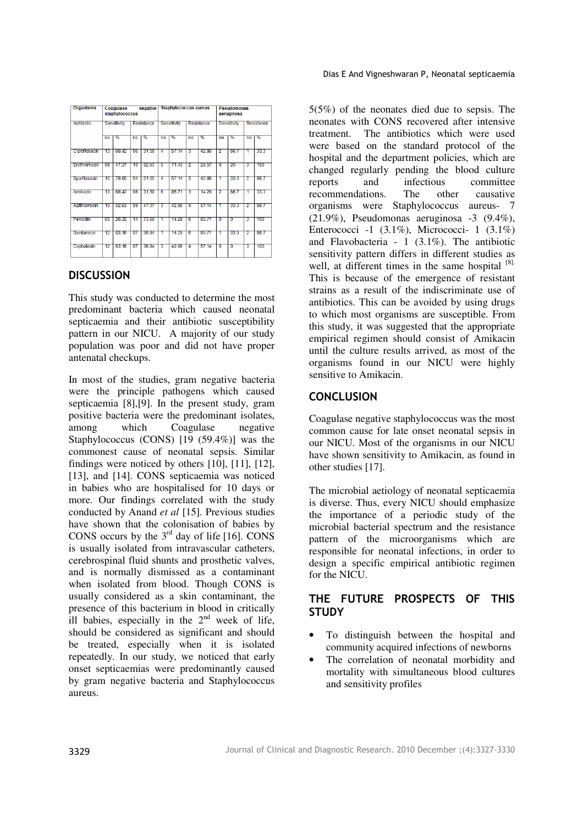| <b>Organisms</b> | Coaquiase<br>negative<br>staphylococcus |       |            |       | <b>Staphylococcus aureus</b> |       |                   | <b>Pseudomonas</b><br>aeruginosa |             |      |            |      |
|------------------|-----------------------------------------|-------|------------|-------|------------------------------|-------|-------------------|----------------------------------|-------------|------|------------|------|
| Antibiotic       | Sensitivity                             |       | Resistance |       | Sensitivity                  |       | <b>Resistance</b> |                                  | Sensitivity |      | Resistance |      |
|                  | n <sub>0</sub>                          | %     | no         | %     | no                           | %     | no                | %                                | no          | %    | no         | %    |
| Ciprofloxacin    | 13                                      | 68.42 | 06         | 31.58 | 4                            | 57.14 | 3                 | 42.86                            | 2           | 667  | 1          | 33 3 |
| Erythromyan      | 09                                      | 47.37 | 10         | 52.63 | 5                            | 7143  | 2                 | 28.57                            | o           | 20   | 3          | 100  |
| Sparfloxadn      | 15                                      | 78.95 | 04         | 21.05 | 4                            | 57.14 | 3                 | 42.86                            | 1           | 33.3 | 2          | 667  |
| Amikadn          | 13                                      | 68.42 | 06         | 31.58 | 6                            | 8571  | 1                 | 14.29                            | 2           | 667  | 1          | 33.3 |
| Azithromycin     | 10                                      | 52.63 | 09         | 47.37 | з                            | 42.86 | 4                 | 57.14                            | 1           | 33.3 | 2          | 667  |
| Penicillin       | 05                                      | 26.32 | 14         | 73.68 | т                            | 14.29 | 6                 | 85.71                            | n           | Ō    | з          | 100  |
| Gentamicin       | 12                                      | 63.16 | 07         | 36.84 | 1                            | 14.29 | 6                 | 85.71                            | 1           | 33.3 | 2          | 66.7 |
| Cephalexin       | 12                                      | 63.16 | 07         | 36.84 | з                            | 42.86 | 4                 | 57.14                            | n           | O    | 3          | 100  |

#### **DISCUSSION**

This study was conducted to determine the most predominant bacteria which caused neonatal septicaemia and their antibiotic susceptibility pattern in our NICU. A majority of our study population was poor and did not have proper antenatal checkups.

In most of the studies, gram negative bacteria were the principle pathogens which caused septicaemia [8],[9]. In the present study, gram positive bacteria were the predominant isolates, among which Coagulase negative Staphylococcus (CONS) [19 (59.4%)] was the commonest cause of neonatal sepsis. Similar findings were noticed by others [10], [11], [12], [13], and [14]. CONS septicaemia was noticed in babies who are hospitalised for 10 days or more. Our findings correlated with the study conducted by Anand *et al* [15]. Previous studies have shown that the colonisation of babies by CONS occurs by the  $3<sup>rd</sup>$  day of life [16]. CONS is usually isolated from intravascular catheters, cerebrospinal fluid shunts and prosthetic valves, and is normally dismissed as a contaminant when isolated from blood. Though CONS is usually considered as a skin contaminant, the presence of this bacterium in blood in critically ill babies, especially in the  $2<sup>nd</sup>$  week of life, should be considered as significant and should be treated, especially when it is isolated repeatedly. In our study, we noticed that early onset septicaemias were predominantly caused by gram negative bacteria and Staphylococcus aureus.

5(5%) of the neonates died due to sepsis. The neonates with CONS recovered after intensive treatment. The antibiotics which were used were based on the standard protocol of the hospital and the department policies, which are changed regularly pending the blood culture<br>reports and infectious committee and infectious committee recommendations. The other causative organisms were Staphylococcus aureus- 7 (21.9%), Pseudomonas aeruginosa -3 (9.4%), Enterococci -1 (3.1%), Micrococci- 1 (3.1%) and Flavobacteria - 1 (3.1%). The antibiotic sensitivity pattern differs in different studies as well, at different times in the same hospital [8]. This is because of the emergence of resistant strains as a result of the indiscriminate use of antibiotics. This can be avoided by using drugs to which most organisms are susceptible. From this study, it was suggested that the appropriate empirical regimen should consist of Amikacin until the culture results arrived, as most of the organisms found in our NICU were highly sensitive to Amikacin.

#### **CONCLUSION**

Coagulase negative staphylococcus was the most common cause for late onset neonatal sepsis in our NICU. Most of the organisms in our NICU have shown sensitivity to Amikacin, as found in other studies [17].

The microbial aetiology of neonatal septicaemia is diverse. Thus, every NICU should emphasize the importance of a periodic study of the microbial bacterial spectrum and the resistance pattern of the microorganisms which are responsible for neonatal infections, in order to design a specific empirical antibiotic regimen for the NICU.

## THE FUTURE PROSPECTS OF THIS **STUDY**

- To distinguish between the hospital and community acquired infections of newborns
- The correlation of neonatal morbidity and mortality with simultaneous blood cultures and sensitivity profiles